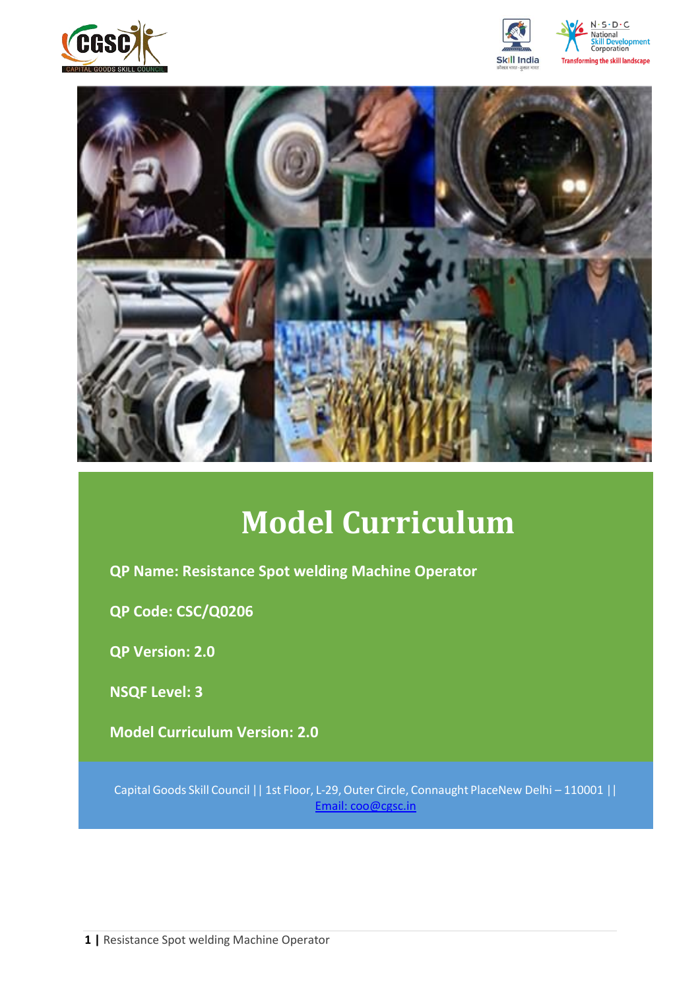







# **Model Curriculum**

**QP Name: Resistance Spot welding Machine Operator**

**QP Code: CSC/Q0206**

**QP Version: 2.0**

**NSQF Level: 3**

**Model Curriculum Version: 2.0** 

Capital Goods Skill Council || 1st Floor, L-29,Outer Circle, Connaught PlaceNew Delhi – 110001 || Email: [coo@cgsc.in](mailto:Email:%20coo@cgsc.in)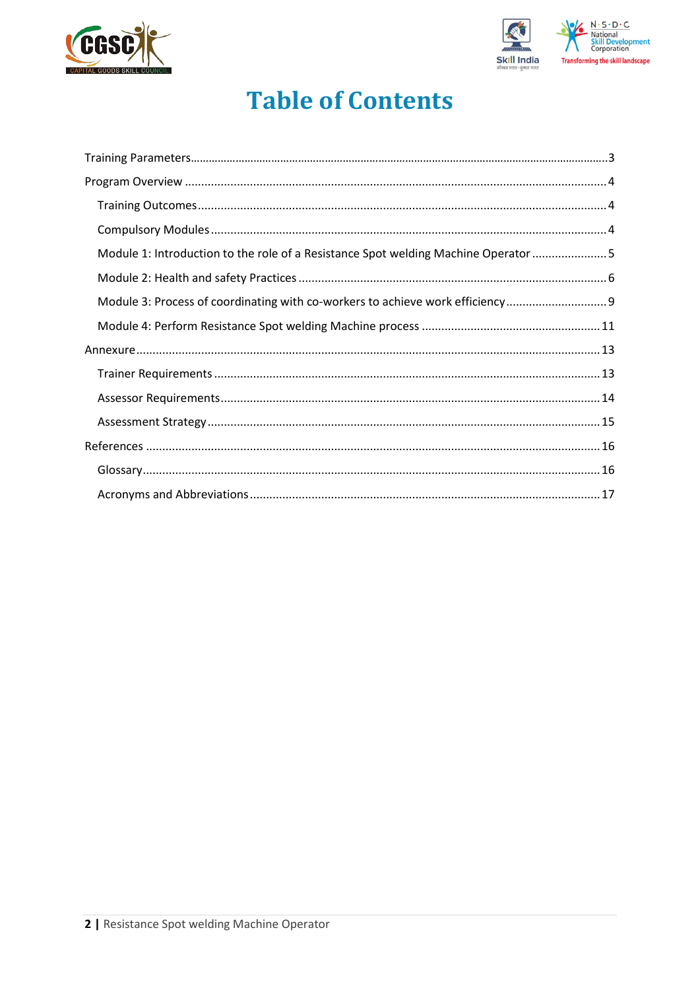



## **Table of Contents**

| Module 1: Introduction to the role of a Resistance Spot welding Machine Operator 5 |  |
|------------------------------------------------------------------------------------|--|
|                                                                                    |  |
| Module 3: Process of coordinating with co-workers to achieve work efficiency       |  |
|                                                                                    |  |
|                                                                                    |  |
|                                                                                    |  |
|                                                                                    |  |
|                                                                                    |  |
|                                                                                    |  |
|                                                                                    |  |
|                                                                                    |  |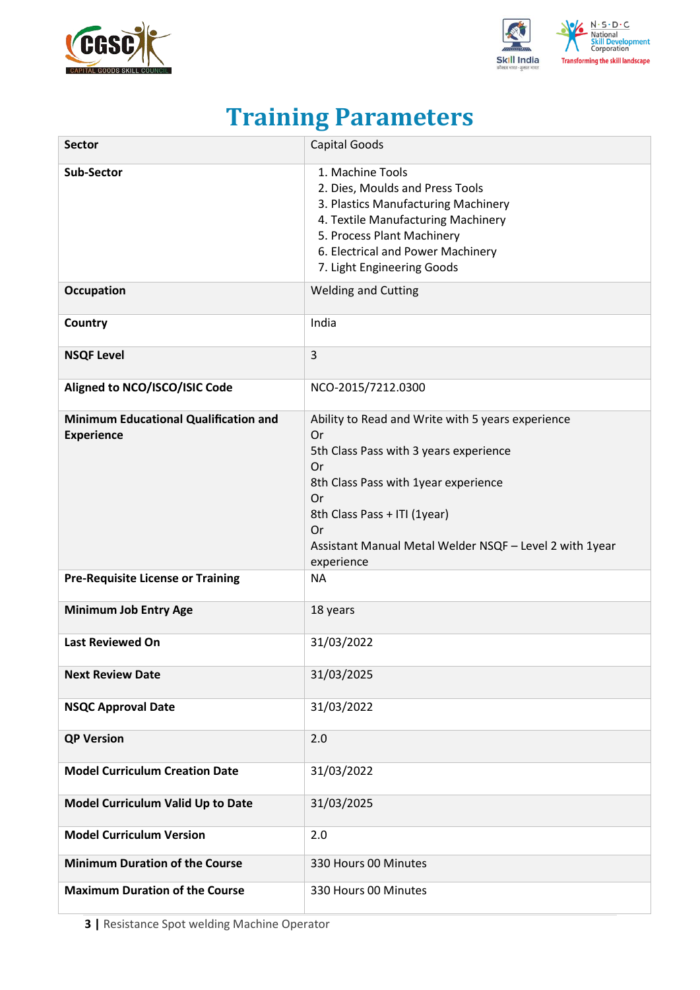



## **Training Parameters**

<span id="page-2-0"></span>

| <b>Sector</b>                                                     | Capital Goods                                                                                                                                                                                                                                                        |
|-------------------------------------------------------------------|----------------------------------------------------------------------------------------------------------------------------------------------------------------------------------------------------------------------------------------------------------------------|
| <b>Sub-Sector</b>                                                 | 1. Machine Tools<br>2. Dies, Moulds and Press Tools<br>3. Plastics Manufacturing Machinery<br>4. Textile Manufacturing Machinery<br>5. Process Plant Machinery<br>6. Electrical and Power Machinery<br>7. Light Engineering Goods                                    |
| <b>Occupation</b>                                                 | <b>Welding and Cutting</b>                                                                                                                                                                                                                                           |
| Country                                                           | India                                                                                                                                                                                                                                                                |
| <b>NSQF Level</b>                                                 | 3                                                                                                                                                                                                                                                                    |
| Aligned to NCO/ISCO/ISIC Code                                     | NCO-2015/7212.0300                                                                                                                                                                                                                                                   |
| <b>Minimum Educational Qualification and</b><br><b>Experience</b> | Ability to Read and Write with 5 years experience<br>Or<br>5th Class Pass with 3 years experience<br>Or<br>8th Class Pass with 1year experience<br>Or<br>8th Class Pass + ITI (1year)<br>Or<br>Assistant Manual Metal Welder NSQF - Level 2 with 1year<br>experience |
| <b>Pre-Requisite License or Training</b>                          | <b>NA</b>                                                                                                                                                                                                                                                            |
| <b>Minimum Job Entry Age</b>                                      | 18 years                                                                                                                                                                                                                                                             |
| <b>Last Reviewed On</b>                                           | 31/03/2022                                                                                                                                                                                                                                                           |
| <b>Next Review Date</b>                                           | 31/03/2025                                                                                                                                                                                                                                                           |
| <b>NSQC Approval Date</b>                                         | 31/03/2022                                                                                                                                                                                                                                                           |
| <b>QP Version</b>                                                 | 2.0                                                                                                                                                                                                                                                                  |
| <b>Model Curriculum Creation Date</b>                             | 31/03/2022                                                                                                                                                                                                                                                           |
| Model Curriculum Valid Up to Date                                 | 31/03/2025                                                                                                                                                                                                                                                           |
| <b>Model Curriculum Version</b>                                   | 2.0                                                                                                                                                                                                                                                                  |
| <b>Minimum Duration of the Course</b>                             | 330 Hours 00 Minutes                                                                                                                                                                                                                                                 |
| <b>Maximum Duration of the Course</b>                             | 330 Hours 00 Minutes                                                                                                                                                                                                                                                 |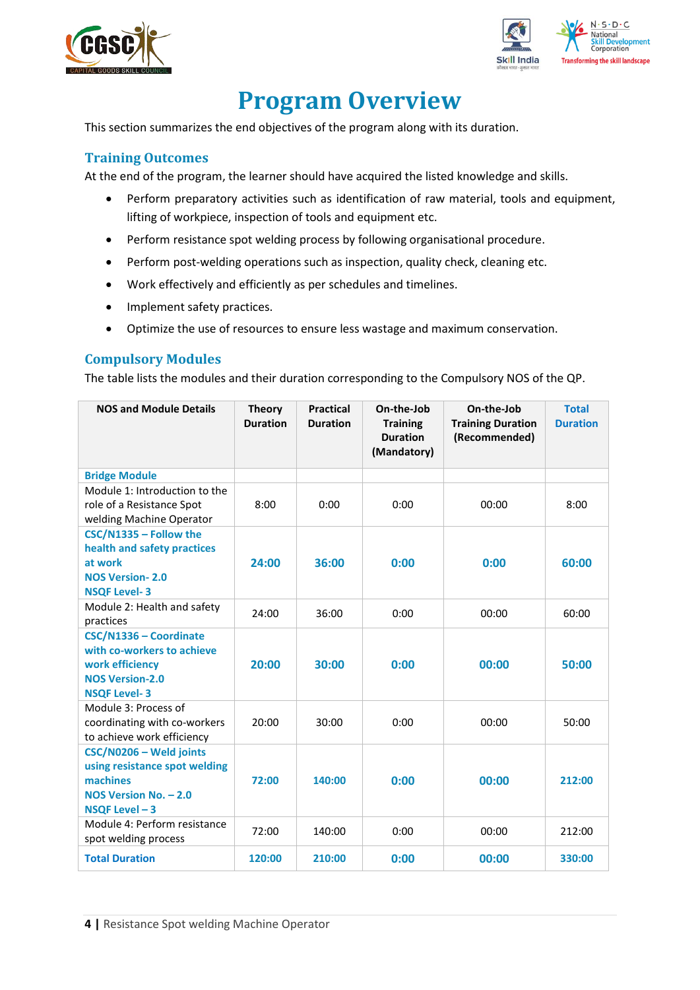



## **Program Overview**

<span id="page-3-0"></span>This section summarizes the end objectives of the program along with its duration.

### <span id="page-3-1"></span>**Training Outcomes**

<span id="page-3-2"></span>At the end of the program, the learner should have acquired the listed knowledge and skills.

- Perform preparatory activities such as identification of raw material, tools and equipment, lifting of workpiece, inspection of tools and equipment etc.
- Perform resistance spot welding process by following organisational procedure.
- Perform post-welding operations such as inspection, quality check, cleaning etc.
- Work effectively and efficiently as per schedules and timelines.
- Implement safety practices.
- Optimize the use of resources to ensure less wastage and maximum conservation.

### **Compulsory Modules**

The table lists the modules and their duration corresponding to the Compulsory NOS of the QP.

| <b>NOS and Module Details</b>                                                                                            | <b>Theory</b><br><b>Duration</b> | <b>Practical</b><br><b>Duration</b> | On-the-Job<br><b>Training</b><br><b>Duration</b><br>(Mandatory) | On-the-Job<br><b>Training Duration</b><br>(Recommended) | <b>Total</b><br><b>Duration</b> |
|--------------------------------------------------------------------------------------------------------------------------|----------------------------------|-------------------------------------|-----------------------------------------------------------------|---------------------------------------------------------|---------------------------------|
| <b>Bridge Module</b>                                                                                                     |                                  |                                     |                                                                 |                                                         |                                 |
| Module 1: Introduction to the<br>role of a Resistance Spot<br>welding Machine Operator                                   | 8:00                             | 0:00                                | 0:00                                                            | 00:00                                                   | 8:00                            |
| CSC/N1335 - Follow the<br>health and safety practices<br>at work<br><b>NOS Version-2.0</b><br><b>NSQF Level-3</b>        | 24:00                            | 36:00                               | 0:00                                                            | 0:00                                                    | 60:00                           |
| Module 2: Health and safety<br>practices                                                                                 | 24:00                            | 36:00                               | 0:00                                                            | 00:00                                                   | 60:00                           |
| CSC/N1336 - Coordinate<br>with co-workers to achieve<br>work efficiency<br><b>NOS Version-2.0</b><br><b>NSQF Level-3</b> | 20:00                            | 30:00                               | 0:00                                                            | 00:00                                                   | 50:00                           |
| Module 3: Process of<br>coordinating with co-workers<br>to achieve work efficiency                                       | 20:00                            | 30:00                               | 0:00                                                            | 00:00                                                   | 50:00                           |
| CSC/N0206 - Weld joints<br>using resistance spot welding<br>machines<br>NOS Version No. - 2.0<br>NSQF Level-3            | 72:00                            | 140:00                              | 0:00                                                            | 00:00                                                   | 212:00                          |
| Module 4: Perform resistance<br>spot welding process                                                                     | 72:00                            | 140:00                              | 0:00                                                            | 00:00                                                   | 212:00                          |
| <b>Total Duration</b>                                                                                                    | 120:00                           | 210:00                              | 0:00                                                            | 00:00                                                   | 330:00                          |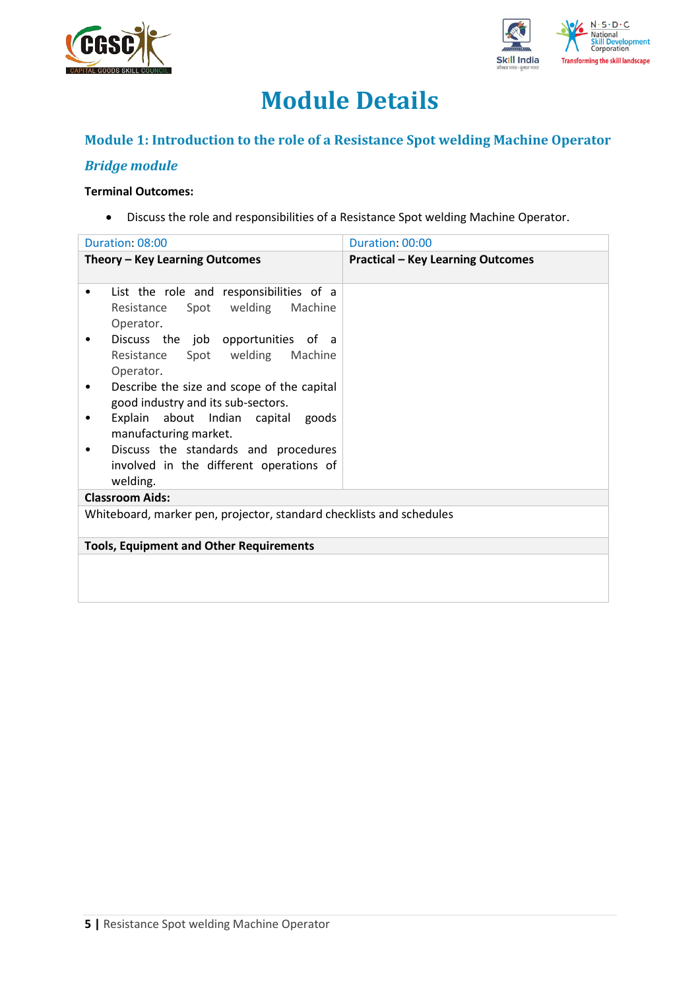



## **Module Details**

## **Module 1: Introduction to the role of a Resistance Spot welding Machine Operator**

## *Bridge module*

### **Terminal Outcomes:**

• Discuss the role and responsibilities of a Resistance Spot welding Machine Operator.

| Duration: 08:00                                                                                 | Duration: 00:00                          |  |  |  |
|-------------------------------------------------------------------------------------------------|------------------------------------------|--|--|--|
| Theory - Key Learning Outcomes                                                                  | <b>Practical - Key Learning Outcomes</b> |  |  |  |
| List the role and responsibilities of a<br>٠<br>Spot welding Machine<br>Resistance<br>Operator. |                                          |  |  |  |
| Discuss the job<br>opportunities of a<br>Resistance Spot welding<br>Machine<br>Operator.        |                                          |  |  |  |
| Describe the size and scope of the capital<br>٠<br>good industry and its sub-sectors.           |                                          |  |  |  |
| Explain about Indian capital goods<br>manufacturing market.                                     |                                          |  |  |  |
| Discuss the standards and procedures<br>involved in the different operations of<br>welding.     |                                          |  |  |  |
| <b>Classroom Aids:</b>                                                                          |                                          |  |  |  |
| Whiteboard, marker pen, projector, standard checklists and schedules                            |                                          |  |  |  |
| <b>Tools, Equipment and Other Requirements</b>                                                  |                                          |  |  |  |
|                                                                                                 |                                          |  |  |  |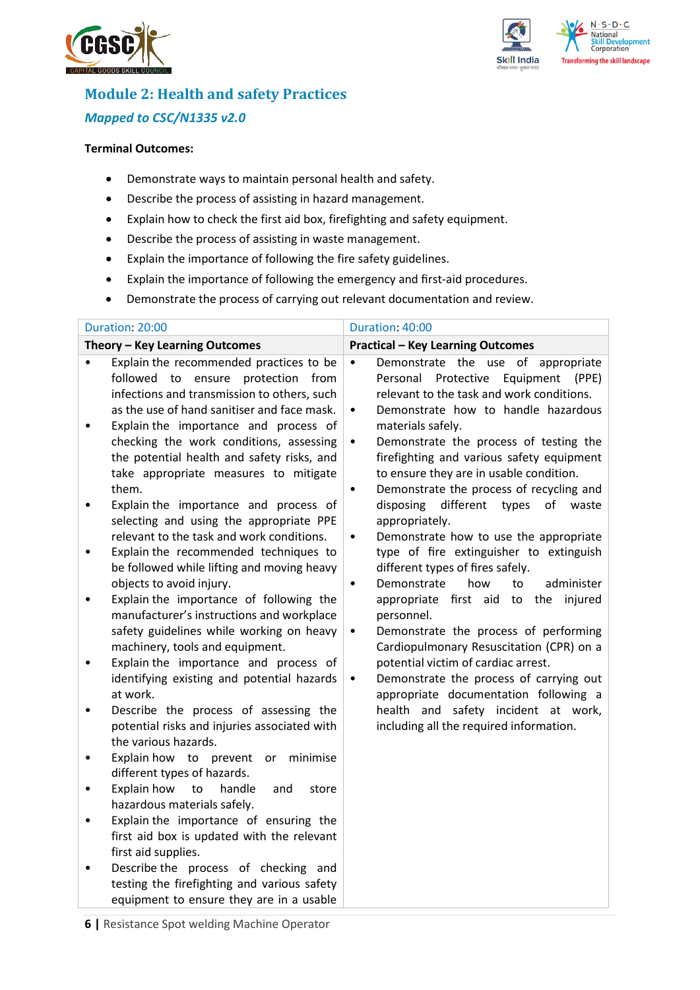



## **Module 2: Health and safety Practices** *Mapped to CSC/N1335 v2.0*

#### **Terminal Outcomes:**

- Demonstrate ways to maintain personal health and safety.
- Describe the process of assisting in hazard management.
- Explain how to check the first aid box, firefighting and safety equipment.
- Describe the process of assisting in waste management.
- Explain the importance of following the fire safety guidelines.
- Explain the importance of following the emergency and first-aid procedures.
- Demonstrate the process of carrying out relevant documentation and review.

| Duration: 20:00                                                                                                                                                                                                                                                                                                                                                                                                                                                                                                                                                                                                                                                                                                                                                                                                                                                                                                                                                                                                                                                                                                                                                                                                                                                                                                                                                                                                                                                                                                                              | Duration: 40:00                                                                                                                                                                                                                                                                                                                                                                                                                                                                                                                                                                                                                                                                                                                                                                                                                                                                                                                                                                                                                                |
|----------------------------------------------------------------------------------------------------------------------------------------------------------------------------------------------------------------------------------------------------------------------------------------------------------------------------------------------------------------------------------------------------------------------------------------------------------------------------------------------------------------------------------------------------------------------------------------------------------------------------------------------------------------------------------------------------------------------------------------------------------------------------------------------------------------------------------------------------------------------------------------------------------------------------------------------------------------------------------------------------------------------------------------------------------------------------------------------------------------------------------------------------------------------------------------------------------------------------------------------------------------------------------------------------------------------------------------------------------------------------------------------------------------------------------------------------------------------------------------------------------------------------------------------|------------------------------------------------------------------------------------------------------------------------------------------------------------------------------------------------------------------------------------------------------------------------------------------------------------------------------------------------------------------------------------------------------------------------------------------------------------------------------------------------------------------------------------------------------------------------------------------------------------------------------------------------------------------------------------------------------------------------------------------------------------------------------------------------------------------------------------------------------------------------------------------------------------------------------------------------------------------------------------------------------------------------------------------------|
| Theory - Key Learning Outcomes                                                                                                                                                                                                                                                                                                                                                                                                                                                                                                                                                                                                                                                                                                                                                                                                                                                                                                                                                                                                                                                                                                                                                                                                                                                                                                                                                                                                                                                                                                               | <b>Practical - Key Learning Outcomes</b>                                                                                                                                                                                                                                                                                                                                                                                                                                                                                                                                                                                                                                                                                                                                                                                                                                                                                                                                                                                                       |
| Explain the recommended practices to be<br>$\bullet$<br>followed<br>to<br>ensure protection<br>from<br>infections and transmission to others, such<br>as the use of hand sanitiser and face mask.<br>Explain the importance and process of<br>٠<br>checking the work conditions, assessing<br>the potential health and safety risks, and<br>take appropriate measures to mitigate<br>them.<br>Explain the importance and process of<br>$\bullet$<br>selecting and using the appropriate PPE<br>relevant to the task and work conditions.<br>Explain the recommended techniques to<br>$\bullet$<br>be followed while lifting and moving heavy<br>objects to avoid injury.<br>Explain the importance of following the<br>$\bullet$<br>manufacturer's instructions and workplace<br>safety guidelines while working on heavy<br>machinery, tools and equipment.<br>Explain the importance and process of<br>٠<br>identifying existing and potential hazards<br>at work.<br>Describe the process of assessing the<br>$\bullet$<br>potential risks and injuries associated with<br>the various hazards.<br>Explain how to prevent<br>minimise<br>or<br>٠<br>different types of hazards.<br>Explain how<br>handle<br>to<br>store<br>and<br>$\bullet$<br>hazardous materials safely.<br>Explain the importance of ensuring the<br>$\bullet$<br>first aid box is updated with the relevant<br>first aid supplies.<br>Describe the process of checking and<br>testing the firefighting and various safety<br>equipment to ensure they are in a usable | Demonstrate the use of appropriate<br>$\bullet$<br>Protective<br>Equipment<br>Personal<br>(PPE)<br>relevant to the task and work conditions.<br>Demonstrate how to handle hazardous<br>٠<br>materials safely.<br>Demonstrate the process of testing the<br>٠<br>firefighting and various safety equipment<br>to ensure they are in usable condition.<br>Demonstrate the process of recycling and<br>$\bullet$<br>different<br>types<br>of<br>disposing<br>waste<br>appropriately.<br>Demonstrate how to use the appropriate<br>٠<br>type of fire extinguisher to extinguish<br>different types of fires safely.<br>Demonstrate<br>how<br>administer<br>to<br>$\bullet$<br>first aid to the<br>injured<br>appropriate<br>personnel.<br>Demonstrate the process of performing<br>٠<br>Cardiopulmonary Resuscitation (CPR) on a<br>potential victim of cardiac arrest.<br>Demonstrate the process of carrying out<br>٠<br>appropriate documentation following a<br>health and safety incident at work,<br>including all the required information. |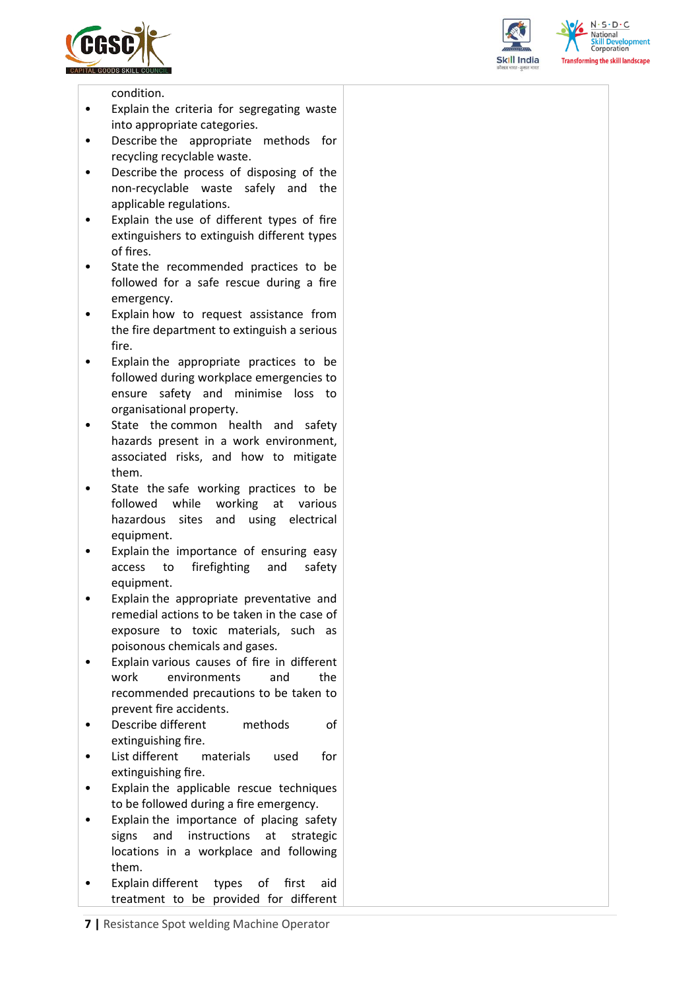





condition.

- Explain the criteria for segregating waste into appropriate categories.
- Describe the appropriate methods for recycling recyclable waste.
- Describe the process of disposing of the non-recyclable waste safely and the applicable regulations.
- Explain the use of different types of fire extinguishers to extinguish different types of fires.
- State the recommended practices to be followed for a safe rescue during a fire emergency.
- Explain how to request assistance from the fire department to extinguish a serious fire.
- Explain the appropriate practices to be followed during workplace emergencies to ensure safety and minimise loss to organisational property.
- State the common health and safety hazards present in a work environment, associated risks, and how to mitigate them.
- State the safe working practices to be followed while working at various hazardous sites and using electrical equipment.
- Explain the importance of ensuring easy access to firefighting and safety equipment.
- Explain the appropriate preventative and remedial actions to be taken in the case of exposure to toxic materials, such as poisonous chemicals and gases.
- Explain various causes of fire in different work environments and the recommended precautions to be taken to prevent fire accidents.
- Describe different methods of extinguishing fire.
- List different materials used for extinguishing fire.
- Explain the applicable rescue techniques to be followed during a fire emergency.
- Explain the importance of placing safety signs and instructions at strategic locations in a workplace and following them.
- Explain different types of first aid treatment to be provided for different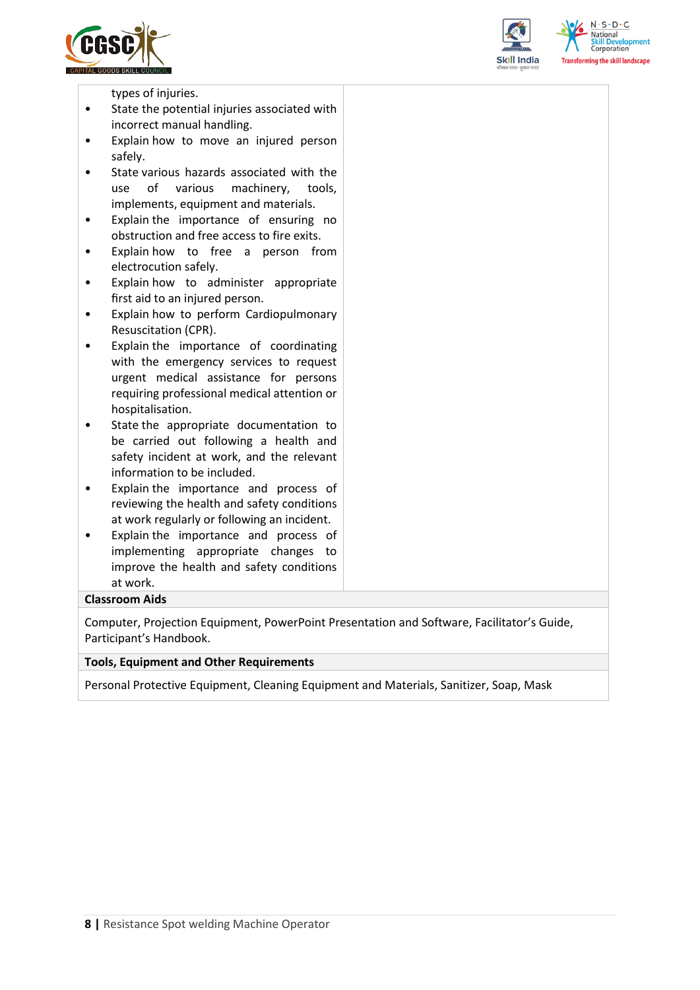





types of injuries.

- State the potential injuries associated with incorrect manual handling.
- Explain how to move an injured person safely.
- State various hazards associated with the use of various machinery, tools, implements, equipment and materials.
- Explain the importance of ensuring no obstruction and free access to fire exits.
- Explain how to free a person from electrocution safely.
- Explain how to administer appropriate first aid to an injured person.
- Explain how to perform Cardiopulmonary Resuscitation (CPR).
- Explain the importance of coordinating with the emergency services to request urgent medical assistance for persons requiring professional medical attention or hospitalisation.
- State the appropriate documentation to be carried out following a health and safety incident at work, and the relevant information to be included.
- Explain the importance and process of reviewing the health and safety conditions at work regularly or following an incident.
- Explain the importance and process of implementing appropriate changes to improve the health and safety conditions at work.

#### **Classroom Aids**

Computer, Projection Equipment, PowerPoint Presentation and Software, Facilitator's Guide, Participant's Handbook.

#### **Tools, Equipment and Other Requirements**

Personal Protective Equipment, Cleaning Equipment and Materials, Sanitizer, Soap, Mask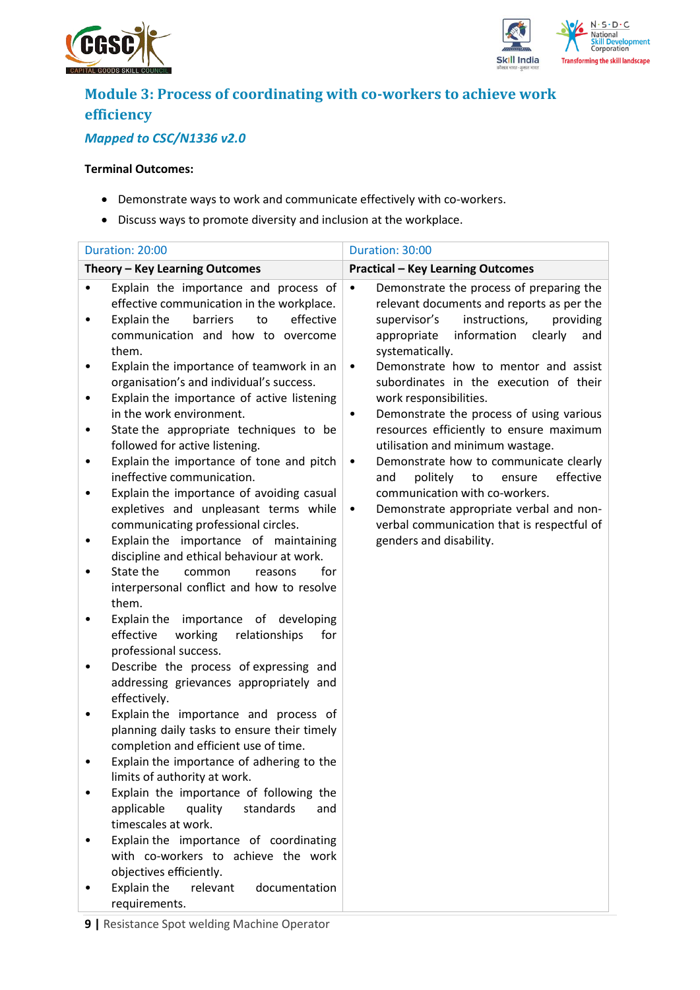



## **Module 3: Process of coordinating with co-workers to achieve work efficiency**

## *Mapped to CSC/N1336 v2.0*

#### **Terminal Outcomes:**

- Demonstrate ways to work and communicate effectively with co-workers.
- Discuss ways to promote diversity and inclusion at the workplace.

|        | Duration: 20:00                                                                                                                                                                                                 | Duration: 30:00                                                                                                                                                                                                      |
|--------|-----------------------------------------------------------------------------------------------------------------------------------------------------------------------------------------------------------------|----------------------------------------------------------------------------------------------------------------------------------------------------------------------------------------------------------------------|
|        | Theory - Key Learning Outcomes                                                                                                                                                                                  | <b>Practical - Key Learning Outcomes</b>                                                                                                                                                                             |
| ٠<br>٠ | Explain the importance and process of<br>effective communication in the workplace.<br>to<br>effective<br>Explain the<br>barriers<br>communication and how to overcome<br>them.                                  | Demonstrate the process of preparing the<br>$\bullet$<br>relevant documents and reports as per the<br>instructions,<br>providing<br>supervisor's<br>information<br>appropriate<br>clearly<br>and<br>systematically.  |
| ٠<br>٠ | Explain the importance of teamwork in an<br>organisation's and individual's success.<br>Explain the importance of active listening<br>in the work environment.                                                  | Demonstrate how to mentor and assist<br>$\bullet$<br>subordinates in the execution of their<br>work responsibilities.<br>Demonstrate the process of using various<br>$\bullet$                                       |
| ٠<br>٠ | State the appropriate techniques to be<br>followed for active listening.<br>Explain the importance of tone and pitch<br>ineffective communication.                                                              | resources efficiently to ensure maximum<br>utilisation and minimum wastage.<br>Demonstrate how to communicate clearly<br>$\bullet$<br>politely<br>to<br>ensure<br>effective<br>and<br>communication with co-workers. |
| ٠<br>٠ | Explain the importance of avoiding casual<br>expletives and unpleasant terms while<br>communicating professional circles.<br>Explain the importance of maintaining<br>discipline and ethical behaviour at work. | Demonstrate appropriate verbal and non-<br>$\bullet$<br>verbal communication that is respectful of<br>genders and disability.                                                                                        |
|        | State the<br>for<br>common<br>reasons<br>interpersonal conflict and how to resolve<br>them.                                                                                                                     |                                                                                                                                                                                                                      |
| ٠      | of developing<br>Explain the importance<br>effective<br>working<br>relationships<br>for<br>professional success.<br>Describe the process of expressing and<br>addressing grievances appropriately and           |                                                                                                                                                                                                                      |
| ٠      | effectively.<br>Explain the importance and process of<br>planning daily tasks to ensure their timely                                                                                                            |                                                                                                                                                                                                                      |
|        | completion and efficient use of time.<br>Explain the importance of adhering to the<br>limits of authority at work.<br>Explain the importance of following the                                                   |                                                                                                                                                                                                                      |
|        | applicable<br>quality<br>standards<br>and<br>timescales at work.<br>Explain the importance of coordinating                                                                                                      |                                                                                                                                                                                                                      |
|        | with co-workers to achieve the work<br>objectives efficiently.<br>Explain the<br>relevant<br>documentation                                                                                                      |                                                                                                                                                                                                                      |
|        | requirements.                                                                                                                                                                                                   |                                                                                                                                                                                                                      |

**9 |** Resistance Spot welding Machine Operator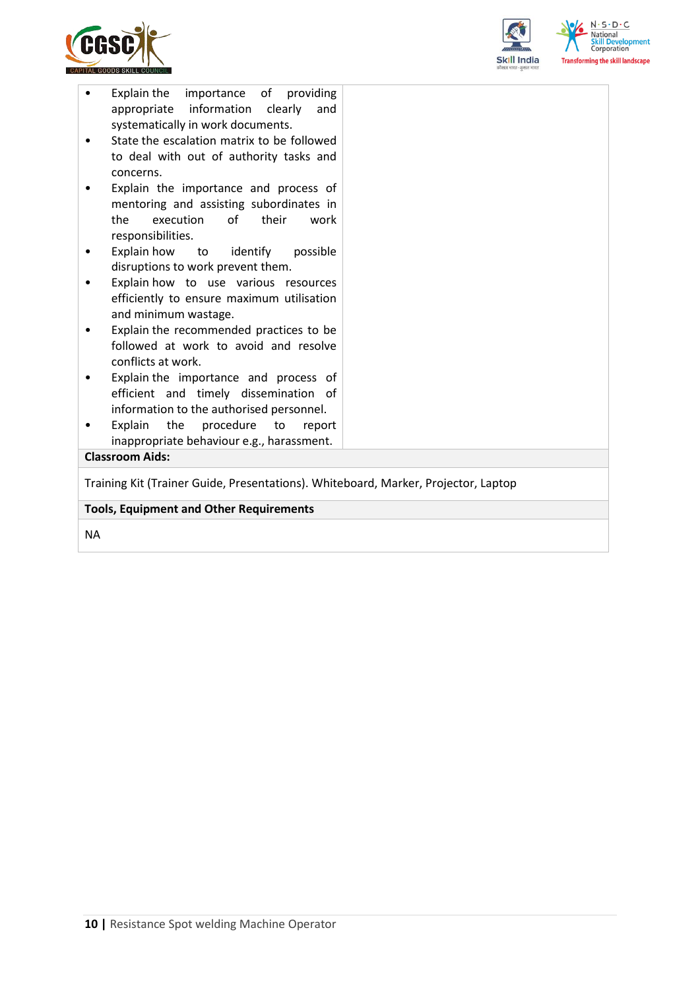



| importance of providing<br>Explain the<br>appropriate information clearly<br>and<br>systematically in work documents.<br>State the escalation matrix to be followed<br>to deal with out of authority tasks and<br>concerns.<br>Explain the importance and process of<br>mentoring and assisting subordinates in<br>execution<br>of their<br>the<br>work<br>responsibilities.<br>Explain how<br>to identify<br>possible<br>disruptions to work prevent them. |  |  |  |  |
|-------------------------------------------------------------------------------------------------------------------------------------------------------------------------------------------------------------------------------------------------------------------------------------------------------------------------------------------------------------------------------------------------------------------------------------------------------------|--|--|--|--|
| Explain how to use various resources<br>efficiently to ensure maximum utilisation                                                                                                                                                                                                                                                                                                                                                                           |  |  |  |  |
| and minimum wastage.<br>Explain the recommended practices to be                                                                                                                                                                                                                                                                                                                                                                                             |  |  |  |  |
| followed at work to avoid and resolve<br>conflicts at work.                                                                                                                                                                                                                                                                                                                                                                                                 |  |  |  |  |
| Explain the importance and process of                                                                                                                                                                                                                                                                                                                                                                                                                       |  |  |  |  |
| efficient and timely dissemination of                                                                                                                                                                                                                                                                                                                                                                                                                       |  |  |  |  |
| information to the authorised personnel.                                                                                                                                                                                                                                                                                                                                                                                                                    |  |  |  |  |
| Explain<br>the<br>procedure<br>to<br>report                                                                                                                                                                                                                                                                                                                                                                                                                 |  |  |  |  |
| inappropriate behaviour e.g., harassment.<br><b>Classroom Aids:</b>                                                                                                                                                                                                                                                                                                                                                                                         |  |  |  |  |
|                                                                                                                                                                                                                                                                                                                                                                                                                                                             |  |  |  |  |
| Training Kit (Trainer Guide, Presentations). Whiteboard, Marker, Projector, Laptop                                                                                                                                                                                                                                                                                                                                                                          |  |  |  |  |
| <b>Tools, Equipment and Other Requirements</b>                                                                                                                                                                                                                                                                                                                                                                                                              |  |  |  |  |
|                                                                                                                                                                                                                                                                                                                                                                                                                                                             |  |  |  |  |

NA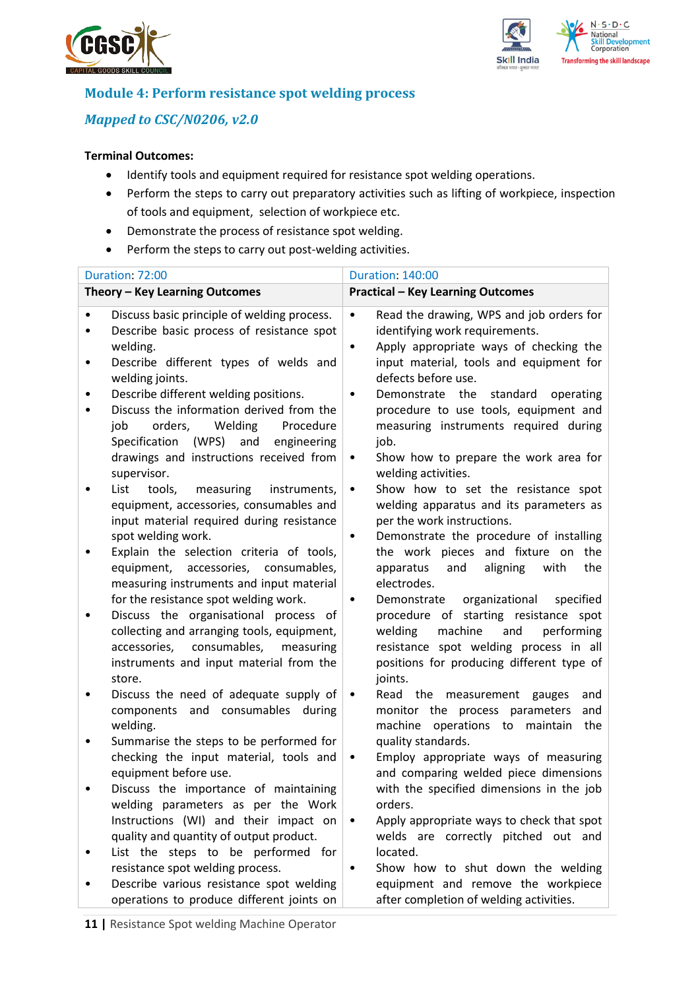



### **Module 4: Perform resistance spot welding process**

## *Mapped to CSC/N0206, v2.0*

### **Terminal Outcomes:**

- Identify tools and equipment required for resistance spot welding operations.
- Perform the steps to carry out preparatory activities such as lifting of workpiece, inspection of tools and equipment, selection of workpiece etc.
- Demonstrate the process of resistance spot welding.
- Perform the steps to carry out post-welding activities.

|   | Duration: 72:00                                                                                                                                                                                                                 | <b>Duration: 140:00</b>                                                                                                                                                                                                                       |
|---|---------------------------------------------------------------------------------------------------------------------------------------------------------------------------------------------------------------------------------|-----------------------------------------------------------------------------------------------------------------------------------------------------------------------------------------------------------------------------------------------|
|   | Theory - Key Learning Outcomes                                                                                                                                                                                                  | <b>Practical - Key Learning Outcomes</b>                                                                                                                                                                                                      |
| ٠ | Discuss basic principle of welding process.<br>Describe basic process of resistance spot<br>welding.                                                                                                                            | Read the drawing, WPS and job orders for<br>$\bullet$<br>identifying work requirements.<br>Apply appropriate ways of checking the<br>$\bullet$                                                                                                |
| ٠ | Describe different types of welds and<br>welding joints.                                                                                                                                                                        | input material, tools and equipment for<br>defects before use.                                                                                                                                                                                |
| ٠ | Describe different welding positions.<br>Discuss the information derived from the<br>orders,<br>Welding<br>Procedure<br>job<br>Specification (WPS) and<br>engineering<br>drawings and instructions received from<br>supervisor. | Demonstrate the<br>standard<br>operating<br>$\bullet$<br>procedure to use tools, equipment and<br>measuring instruments required during<br>job.<br>Show how to prepare the work area for<br>$\bullet$<br>welding activities.                  |
|   | List<br>tools,<br>measuring<br>instruments,<br>equipment, accessories, consumables and<br>input material required during resistance<br>spot welding work.                                                                       | Show how to set the resistance spot<br>$\bullet$<br>welding apparatus and its parameters as<br>per the work instructions.<br>Demonstrate the procedure of installing<br>$\bullet$                                                             |
|   | Explain the selection criteria of tools,<br>equipment, accessories, consumables,<br>measuring instruments and input material                                                                                                    | the work pieces and fixture on the<br>and<br>aligning<br>with<br>the<br>apparatus<br>electrodes.                                                                                                                                              |
|   | for the resistance spot welding work.<br>Discuss the organisational process of<br>collecting and arranging tools, equipment,<br>consumables,<br>accessories,<br>measuring<br>instruments and input material from the<br>store.  | organizational<br>specified<br>Demonstrate<br>$\bullet$<br>procedure of starting resistance spot<br>welding<br>machine<br>and<br>performing<br>resistance spot welding process in all<br>positions for producing different type of<br>joints. |
| ٠ | Discuss the need of adequate supply of<br>components and consumables during<br>welding.                                                                                                                                         | Read the measurement<br>gauges<br>$\bullet$<br>and<br>monitor the process parameters<br>and<br>machine operations to maintain<br>the                                                                                                          |
|   | Summarise the steps to be performed for<br>checking the input material, tools and<br>equipment before use.                                                                                                                      | quality standards.<br>Employ appropriate ways of measuring<br>$\bullet$<br>and comparing welded piece dimensions                                                                                                                              |
|   | Discuss the importance of maintaining<br>welding parameters as per the Work<br>Instructions (WI) and their impact on                                                                                                            | with the specified dimensions in the job<br>orders.<br>Apply appropriate ways to check that spot<br>٠                                                                                                                                         |
|   | quality and quantity of output product.<br>List the steps to be performed for<br>resistance spot welding process.                                                                                                               | welds are correctly pitched out and<br>located.<br>Show how to shut down the welding<br>٠                                                                                                                                                     |
|   | Describe various resistance spot welding<br>operations to produce different joints on                                                                                                                                           | equipment and remove the workpiece<br>after completion of welding activities.                                                                                                                                                                 |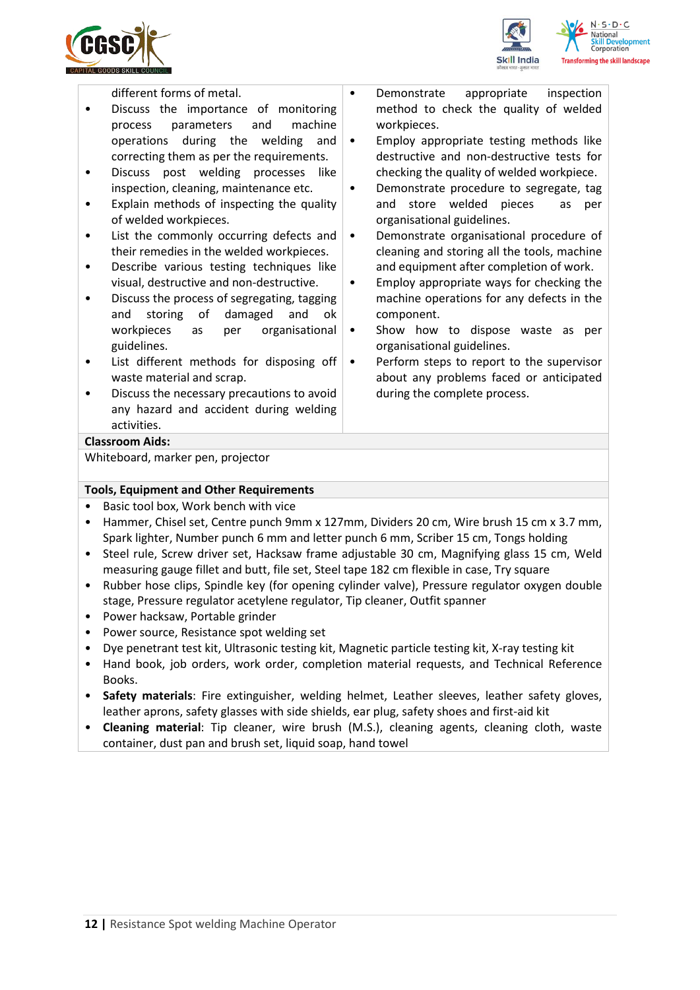



different forms of metal.

- Discuss the importance of monitoring process parameters and machine operations during the welding and correcting them as per the requirements.
- Discuss post welding processes like inspection, cleaning, maintenance etc.
- Explain methods of inspecting the quality of welded workpieces.
- List the commonly occurring defects and their remedies in the welded workpieces.
- Describe various testing techniques like visual, destructive and non-destructive.
- Discuss the process of segregating, tagging and storing of damaged and ok workpieces as per organisational guidelines.
- List different methods for disposing off waste material and scrap.
- Discuss the necessary precautions to avoid any hazard and accident during welding activities.
- Demonstrate appropriate inspection method to check the quality of welded workpieces.
- Employ appropriate testing methods like destructive and non-destructive tests for checking the quality of welded workpiece.
- Demonstrate procedure to segregate, tag and store welded pieces as per organisational guidelines.
- Demonstrate organisational procedure of cleaning and storing all the tools, machine and equipment after completion of work.
- Employ appropriate ways for checking the machine operations for any defects in the component.
- Show how to dispose waste as per organisational guidelines.
- Perform steps to report to the supervisor about any problems faced or anticipated during the complete process.

#### **Classroom Aids:**

Whiteboard, marker pen, projector

#### **Tools, Equipment and Other Requirements**

- Basic tool box, Work bench with vice
- Hammer, Chisel set, Centre punch 9mm x 127mm, Dividers 20 cm, Wire brush 15 cm x 3.7 mm, Spark lighter, Number punch 6 mm and letter punch 6 mm, Scriber 15 cm, Tongs holding
- Steel rule, Screw driver set, Hacksaw frame adjustable 30 cm, Magnifying glass 15 cm, Weld measuring gauge fillet and butt, file set, Steel tape 182 cm flexible in case, Try square
- Rubber hose clips, Spindle key (for opening cylinder valve), Pressure regulator oxygen double stage, Pressure regulator acetylene regulator, Tip cleaner, Outfit spanner
- Power hacksaw, Portable grinder
- Power source, Resistance spot welding set
- Dye penetrant test kit, Ultrasonic testing kit, Magnetic particle testing kit, X-ray testing kit
- Hand book, job orders, work order, completion material requests, and Technical Reference Books.
- **Safety materials**: Fire extinguisher, welding helmet, Leather sleeves, leather safety gloves, leather aprons, safety glasses with side shields, ear plug, safety shoes and first-aid kit
- **Cleaning material**: Tip cleaner, wire brush (M.S.), cleaning agents, cleaning cloth, waste container, dust pan and brush set, liquid soap, hand towel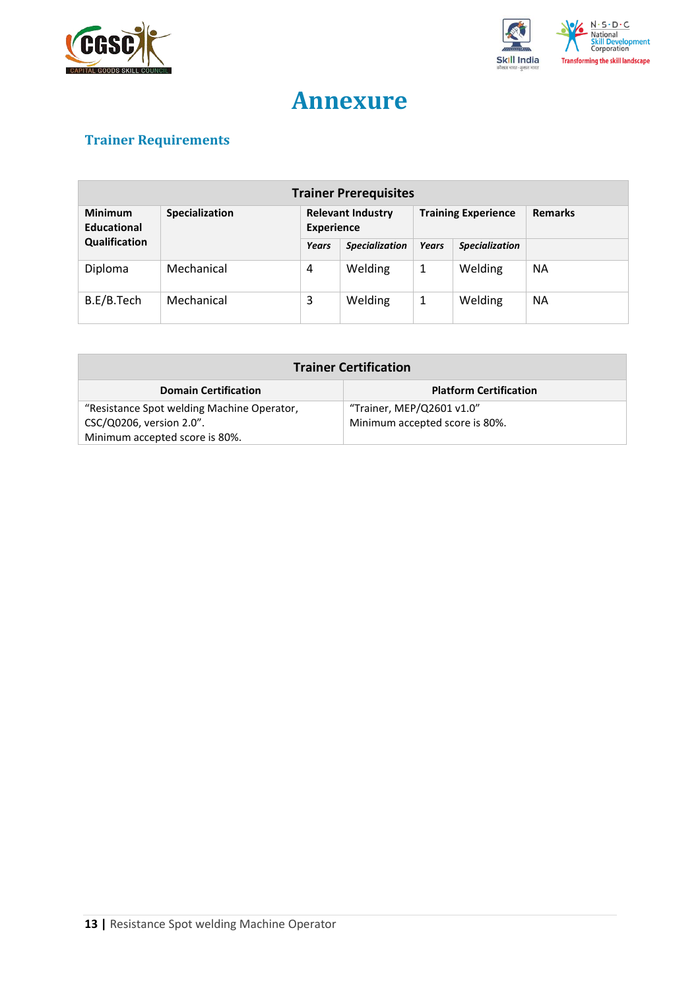



## **Annexure**

## <span id="page-12-0"></span>**Trainer Requirements**

| <b>Trainer Prerequisites</b>  |                |                                               |                       |                            |                       |                |
|-------------------------------|----------------|-----------------------------------------------|-----------------------|----------------------------|-----------------------|----------------|
| <b>Minimum</b><br>Educational | Specialization | <b>Relevant Industry</b><br><b>Experience</b> |                       | <b>Training Experience</b> |                       | <b>Remarks</b> |
| Qualification                 |                | Years                                         | <b>Specialization</b> | <b>Years</b>               | <b>Specialization</b> |                |
| Diploma                       | Mechanical     | 4                                             | Welding               | 1                          | Welding               | <b>NA</b>      |
| B.E/B.Tech                    | Mechanical     | 3                                             | Welding               | 1                          | Welding               | <b>NA</b>      |

| <b>Trainer Certification</b>               |                                |  |  |
|--------------------------------------------|--------------------------------|--|--|
| <b>Domain Certification</b>                | <b>Platform Certification</b>  |  |  |
| "Resistance Spot welding Machine Operator, | "Trainer, MEP/Q2601 v1.0"      |  |  |
| CSC/Q0206, version 2.0".                   | Minimum accepted score is 80%. |  |  |
| Minimum accepted score is 80%.             |                                |  |  |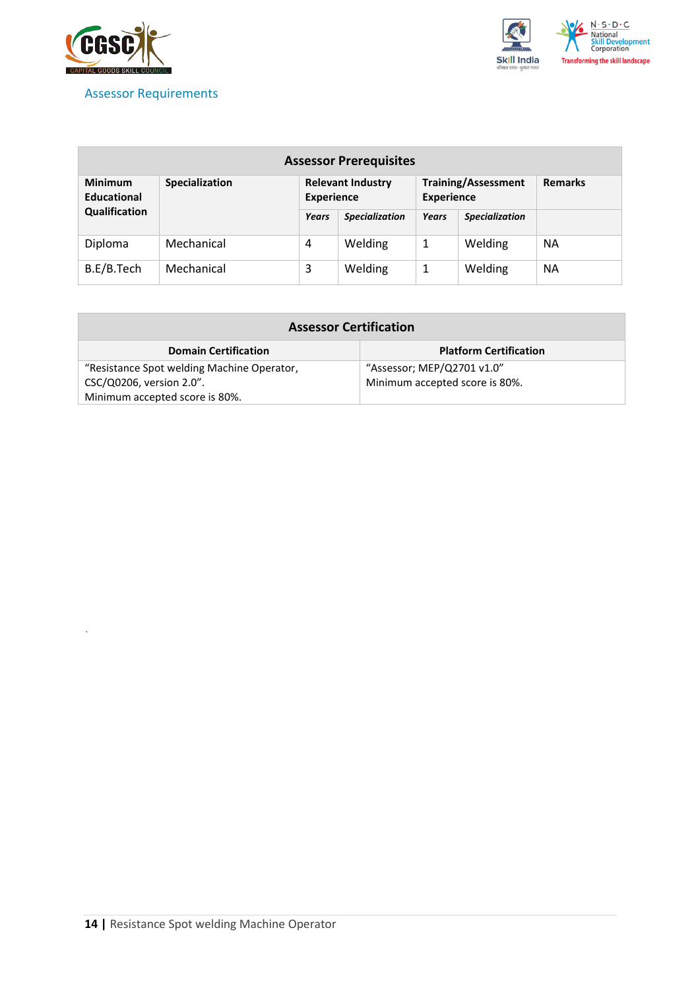

*`*

<span id="page-13-0"></span>



| <b>Assessor Prerequisites</b>        |                |       |                                               |       |                                                 |                |
|--------------------------------------|----------------|-------|-----------------------------------------------|-------|-------------------------------------------------|----------------|
| <b>Minimum</b><br><b>Educational</b> | Specialization |       | <b>Relevant Industry</b><br><b>Experience</b> |       | <b>Training/Assessment</b><br><b>Experience</b> | <b>Remarks</b> |
| Qualification                        |                | Years | <b>Specialization</b>                         | Years | <b>Specialization</b>                           |                |
| Diploma                              | Mechanical     | 4     | Welding                                       | 1     | Welding                                         | <b>NA</b>      |
| B.E/B.Tech                           | Mechanical     | 3     | Welding                                       | 1     | Welding                                         | <b>NA</b>      |

| <b>Assessor Certification</b>              |                                |  |  |
|--------------------------------------------|--------------------------------|--|--|
| <b>Domain Certification</b>                | <b>Platform Certification</b>  |  |  |
| "Resistance Spot welding Machine Operator, | "Assessor; MEP/Q2701 v1.0"     |  |  |
| CSC/Q0206, version 2.0".                   | Minimum accepted score is 80%. |  |  |
| Minimum accepted score is 80%.             |                                |  |  |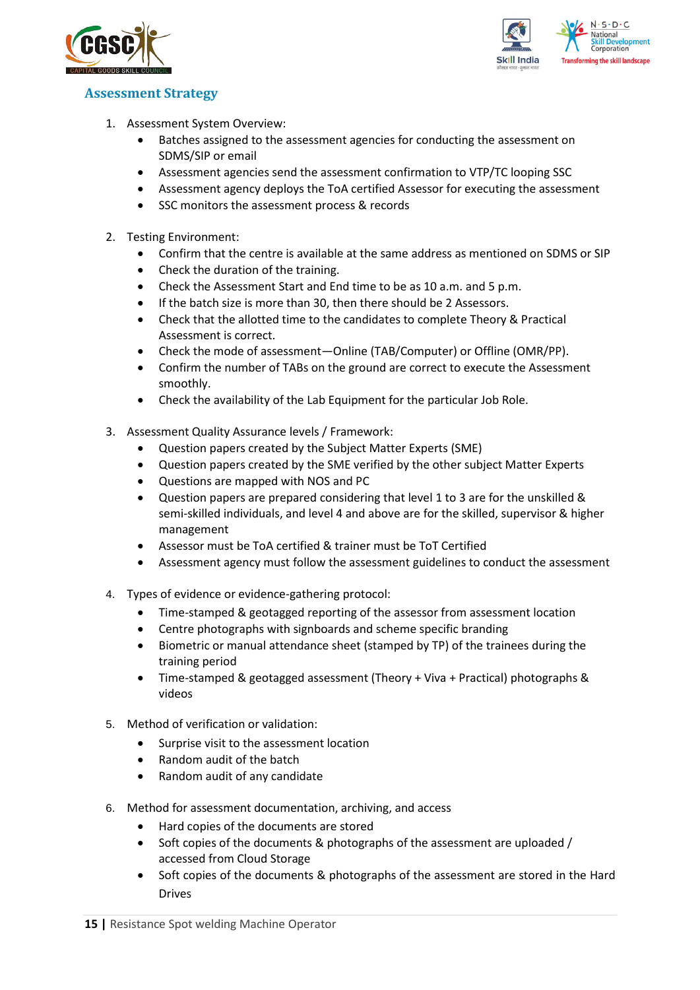



### <span id="page-14-0"></span>**Assessment Strategy**

- 1. Assessment System Overview:
	- Batches assigned to the assessment agencies for conducting the assessment on SDMS/SIP or email
	- Assessment agencies send the assessment confirmation to VTP/TC looping SSC
	- Assessment agency deploys the ToA certified Assessor for executing the assessment
	- SSC monitors the assessment process & records
- 2. Testing Environment:
	- Confirm that the centre is available at the same address as mentioned on SDMS or SIP
	- Check the duration of the training.
	- Check the Assessment Start and End time to be as 10 a.m. and 5 p.m.
	- If the batch size is more than 30, then there should be 2 Assessors.
	- Check that the allotted time to the candidates to complete Theory & Practical Assessment is correct.
	- Check the mode of assessment—Online (TAB/Computer) or Offline (OMR/PP).
	- Confirm the number of TABs on the ground are correct to execute the Assessment smoothly.
	- Check the availability of the Lab Equipment for the particular Job Role.
- 3. Assessment Quality Assurance levels / Framework:
	- Question papers created by the Subject Matter Experts (SME)
	- Question papers created by the SME verified by the other subject Matter Experts
	- Questions are mapped with NOS and PC
	- Question papers are prepared considering that level 1 to 3 are for the unskilled & semi-skilled individuals, and level 4 and above are for the skilled, supervisor & higher management
	- Assessor must be ToA certified & trainer must be ToT Certified
	- Assessment agency must follow the assessment guidelines to conduct the assessment
- 4. Types of evidence or evidence-gathering protocol:
	- Time-stamped & geotagged reporting of the assessor from assessment location
	- Centre photographs with signboards and scheme specific branding
	- Biometric or manual attendance sheet (stamped by TP) of the trainees during the training period
	- Time-stamped & geotagged assessment (Theory + Viva + Practical) photographs & videos
- 5. Method of verification or validation:
	- Surprise visit to the assessment location
	- Random audit of the batch
	- Random audit of any candidate
- 6. Method for assessment documentation, archiving, and access
	- Hard copies of the documents are stored
	- Soft copies of the documents & photographs of the assessment are uploaded / accessed from Cloud Storage
	- Soft copies of the documents & photographs of the assessment are stored in the Hard Drives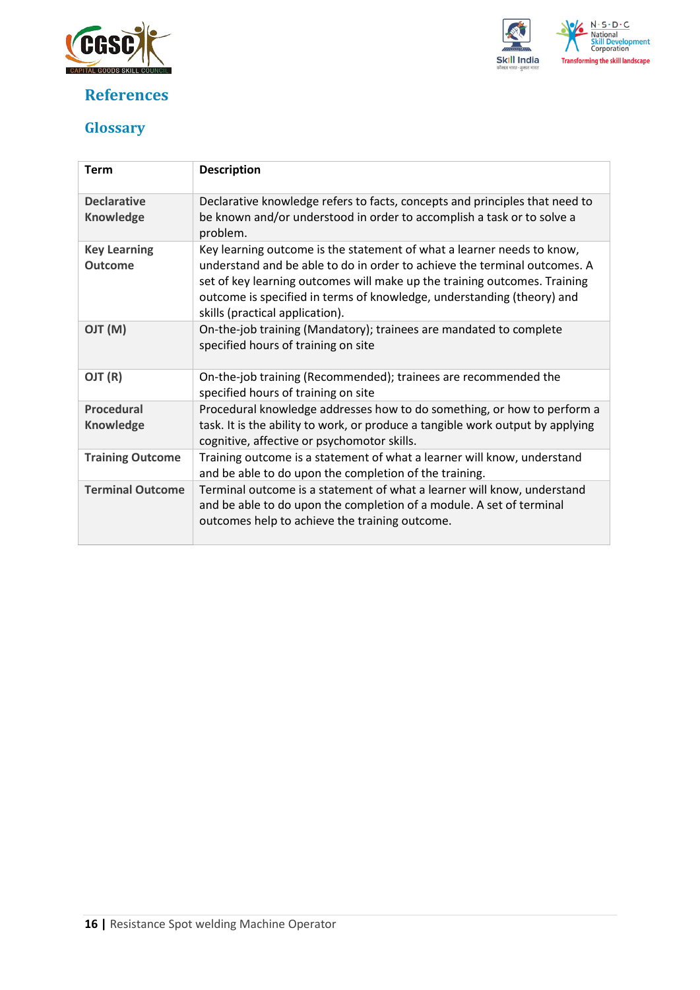

## <span id="page-15-0"></span>**References**



## <span id="page-15-1"></span>**Glossary**

| <b>Term</b>                            | <b>Description</b>                                                                                                                                                                                                                                                                                                                            |
|----------------------------------------|-----------------------------------------------------------------------------------------------------------------------------------------------------------------------------------------------------------------------------------------------------------------------------------------------------------------------------------------------|
| <b>Declarative</b><br><b>Knowledge</b> | Declarative knowledge refers to facts, concepts and principles that need to<br>be known and/or understood in order to accomplish a task or to solve a<br>problem.                                                                                                                                                                             |
| <b>Key Learning</b><br><b>Outcome</b>  | Key learning outcome is the statement of what a learner needs to know,<br>understand and be able to do in order to achieve the terminal outcomes. A<br>set of key learning outcomes will make up the training outcomes. Training<br>outcome is specified in terms of knowledge, understanding (theory) and<br>skills (practical application). |
| (M) TLO                                | On-the-job training (Mandatory); trainees are mandated to complete<br>specified hours of training on site                                                                                                                                                                                                                                     |
| OJT (R)                                | On-the-job training (Recommended); trainees are recommended the<br>specified hours of training on site                                                                                                                                                                                                                                        |
| <b>Procedural</b><br><b>Knowledge</b>  | Procedural knowledge addresses how to do something, or how to perform a<br>task. It is the ability to work, or produce a tangible work output by applying<br>cognitive, affective or psychomotor skills.                                                                                                                                      |
| <b>Training Outcome</b>                | Training outcome is a statement of what a learner will know, understand<br>and be able to do upon the completion of the training.                                                                                                                                                                                                             |
| <b>Terminal Outcome</b>                | Terminal outcome is a statement of what a learner will know, understand<br>and be able to do upon the completion of a module. A set of terminal<br>outcomes help to achieve the training outcome.                                                                                                                                             |